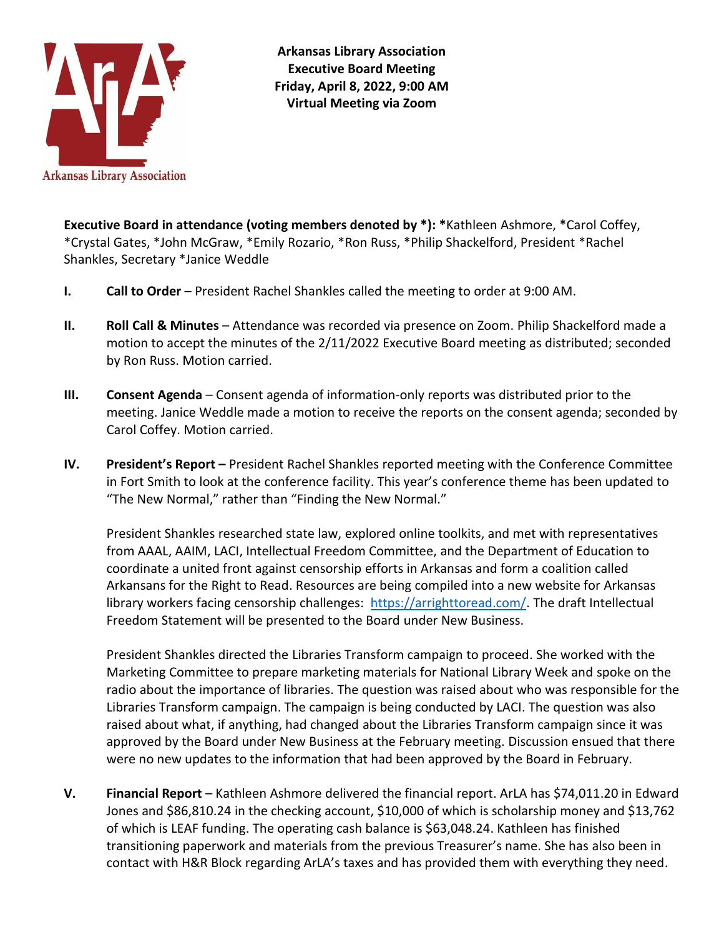

**Arkansas Library Association Executive Board Meeting Friday, April 8, 2022, 9:00 AM Virtual Meeting via Zoom**

**Executive Board in attendance (voting members denoted by \*): \***Kathleen Ashmore, \*Carol Coffey, \*Crystal Gates, \*John McGraw, \*Emily Rozario, \*Ron Russ, \*Philip Shackelford, President \*Rachel Shankles, Secretary \*Janice Weddle

- **I. Call to Order** President Rachel Shankles called the meeting to order at 9:00 AM.
- **II. Roll Call & Minutes** Attendance was recorded via presence on Zoom. Philip Shackelford made a motion to accept the minutes of the 2/11/2022 Executive Board meeting as distributed; seconded by Ron Russ. Motion carried.
- **III. Consent Agenda**  Consent agenda of information-only reports was distributed prior to the meeting. Janice Weddle made a motion to receive the reports on the consent agenda; seconded by Carol Coffey. Motion carried.
- **IV. President's Report –** President Rachel Shankles reported meeting with the Conference Committee in Fort Smith to look at the conference facility. This year's conference theme has been updated to "The New Normal," rather than "Finding the New Normal."

President Shankles researched state law, explored online toolkits, and met with representatives from AAAL, AAIM, LACI, Intellectual Freedom Committee, and the Department of Education to coordinate a united front against censorship efforts in Arkansas and form a coalition called Arkansans for the Right to Read. Resources are being compiled into a new website for Arkansas library workers facing censorship challenges: [https://arrighttoread.com/.](https://arrighttoread.com/) The draft Intellectual Freedom Statement will be presented to the Board under New Business.

President Shankles directed the Libraries Transform campaign to proceed. She worked with the Marketing Committee to prepare marketing materials for National Library Week and spoke on the radio about the importance of libraries. The question was raised about who was responsible for the Libraries Transform campaign. The campaign is being conducted by LACI. The question was also raised about what, if anything, had changed about the Libraries Transform campaign since it was approved by the Board under New Business at the February meeting. Discussion ensued that there were no new updates to the information that had been approved by the Board in February.

**V. Financial Report** – Kathleen Ashmore delivered the financial report. ArLA has \$74,011.20 in Edward Jones and \$86,810.24 in the checking account, \$10,000 of which is scholarship money and \$13,762 of which is LEAF funding. The operating cash balance is \$63,048.24. Kathleen has finished transitioning paperwork and materials from the previous Treasurer's name. She has also been in contact with H&R Block regarding ArLA's taxes and has provided them with everything they need.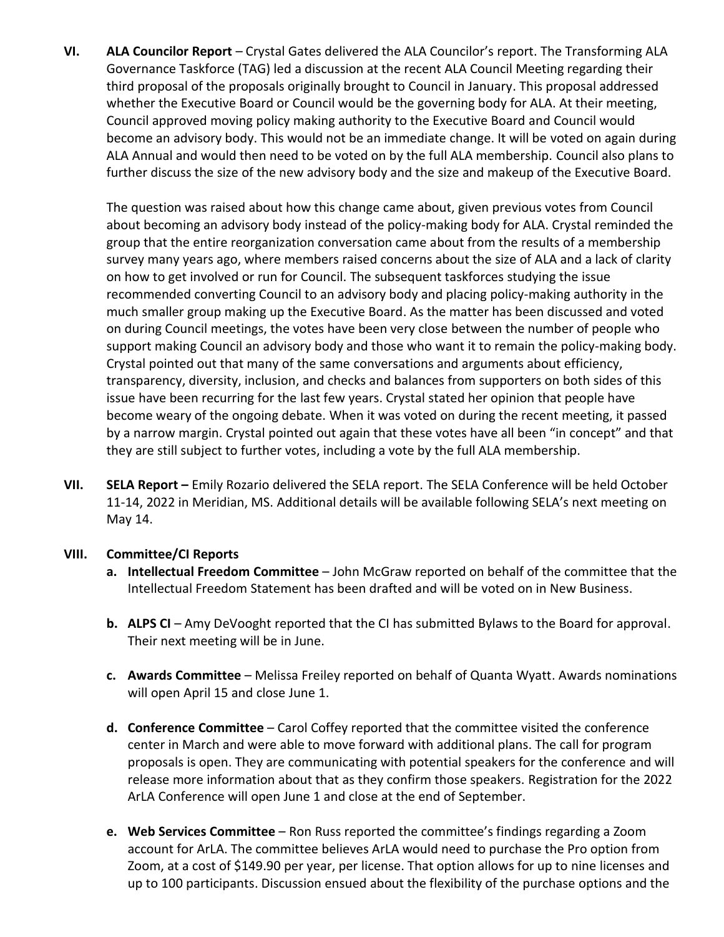**VI. ALA Councilor Report** – Crystal Gates delivered the ALA Councilor's report. The Transforming ALA Governance Taskforce (TAG) led a discussion at the recent ALA Council Meeting regarding their third proposal of the proposals originally brought to Council in January. This proposal addressed whether the Executive Board or Council would be the governing body for ALA. At their meeting, Council approved moving policy making authority to the Executive Board and Council would become an advisory body. This would not be an immediate change. It will be voted on again during ALA Annual and would then need to be voted on by the full ALA membership. Council also plans to further discuss the size of the new advisory body and the size and makeup of the Executive Board.

The question was raised about how this change came about, given previous votes from Council about becoming an advisory body instead of the policy-making body for ALA. Crystal reminded the group that the entire reorganization conversation came about from the results of a membership survey many years ago, where members raised concerns about the size of ALA and a lack of clarity on how to get involved or run for Council. The subsequent taskforces studying the issue recommended converting Council to an advisory body and placing policy-making authority in the much smaller group making up the Executive Board. As the matter has been discussed and voted on during Council meetings, the votes have been very close between the number of people who support making Council an advisory body and those who want it to remain the policy-making body. Crystal pointed out that many of the same conversations and arguments about efficiency, transparency, diversity, inclusion, and checks and balances from supporters on both sides of this issue have been recurring for the last few years. Crystal stated her opinion that people have become weary of the ongoing debate. When it was voted on during the recent meeting, it passed by a narrow margin. Crystal pointed out again that these votes have all been "in concept" and that they are still subject to further votes, including a vote by the full ALA membership.

**VII.** SELA Report – Emily Rozario delivered the SELA report. The SELA Conference will be held October 11-14, 2022 in Meridian, MS. Additional details will be available following SELA's next meeting on May 14.

## **VIII. Committee/CI Reports**

- **a. Intellectual Freedom Committee** John McGraw reported on behalf of the committee that the Intellectual Freedom Statement has been drafted and will be voted on in New Business.
- **b. ALPS CI** Amy DeVooght reported that the CI has submitted Bylaws to the Board for approval. Their next meeting will be in June.
- **c. Awards Committee** Melissa Freiley reported on behalf of Quanta Wyatt. Awards nominations will open April 15 and close June 1.
- **d. Conference Committee**  Carol Coffey reported that the committee visited the conference center in March and were able to move forward with additional plans. The call for program proposals is open. They are communicating with potential speakers for the conference and will release more information about that as they confirm those speakers. Registration for the 2022 ArLA Conference will open June 1 and close at the end of September.
- **e. Web Services Committee**  Ron Russ reported the committee's findings regarding a Zoom account for ArLA. The committee believes ArLA would need to purchase the Pro option from Zoom, at a cost of \$149.90 per year, per license. That option allows for up to nine licenses and up to 100 participants. Discussion ensued about the flexibility of the purchase options and the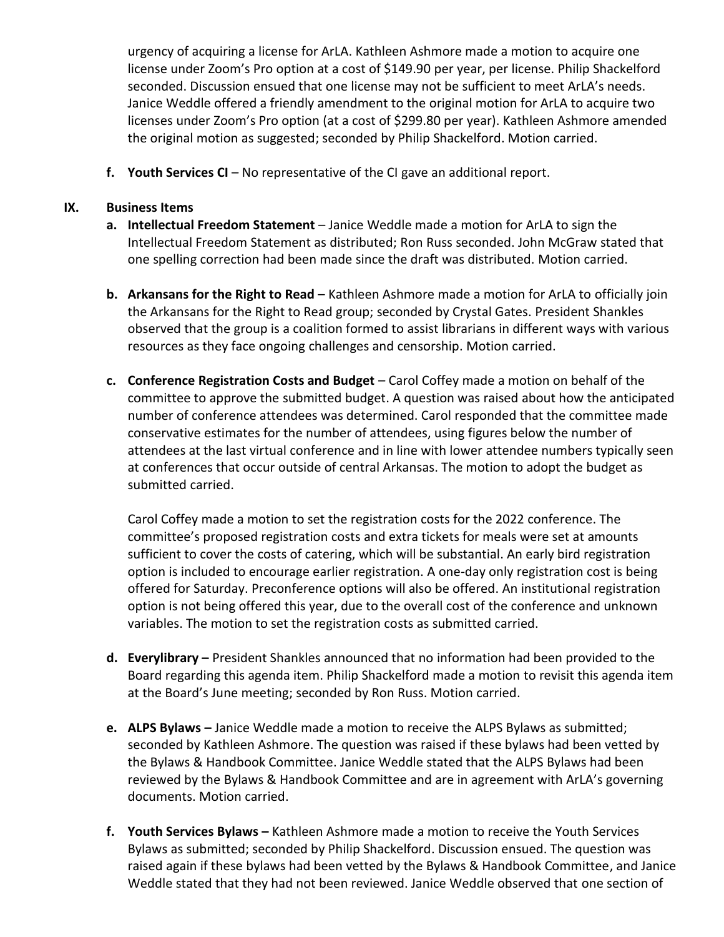urgency of acquiring a license for ArLA. Kathleen Ashmore made a motion to acquire one license under Zoom's Pro option at a cost of \$149.90 per year, per license. Philip Shackelford seconded. Discussion ensued that one license may not be sufficient to meet ArLA's needs. Janice Weddle offered a friendly amendment to the original motion for ArLA to acquire two licenses under Zoom's Pro option (at a cost of \$299.80 per year). Kathleen Ashmore amended the original motion as suggested; seconded by Philip Shackelford. Motion carried.

**f. Youth Services CI** – No representative of the CI gave an additional report.

## **IX. Business Items**

- **a. Intellectual Freedom Statement** Janice Weddle made a motion for ArLA to sign the Intellectual Freedom Statement as distributed; Ron Russ seconded. John McGraw stated that one spelling correction had been made since the draft was distributed. Motion carried.
- **b. Arkansans for the Right to Read** Kathleen Ashmore made a motion for ArLA to officially join the Arkansans for the Right to Read group; seconded by Crystal Gates. President Shankles observed that the group is a coalition formed to assist librarians in different ways with various resources as they face ongoing challenges and censorship. Motion carried.
- **c. Conference Registration Costs and Budget** Carol Coffey made a motion on behalf of the committee to approve the submitted budget. A question was raised about how the anticipated number of conference attendees was determined. Carol responded that the committee made conservative estimates for the number of attendees, using figures below the number of attendees at the last virtual conference and in line with lower attendee numbers typically seen at conferences that occur outside of central Arkansas. The motion to adopt the budget as submitted carried.

Carol Coffey made a motion to set the registration costs for the 2022 conference. The committee's proposed registration costs and extra tickets for meals were set at amounts sufficient to cover the costs of catering, which will be substantial. An early bird registration option is included to encourage earlier registration. A one-day only registration cost is being offered for Saturday. Preconference options will also be offered. An institutional registration option is not being offered this year, due to the overall cost of the conference and unknown variables. The motion to set the registration costs as submitted carried.

- **d. Everylibrary –** President Shankles announced that no information had been provided to the Board regarding this agenda item. Philip Shackelford made a motion to revisit this agenda item at the Board's June meeting; seconded by Ron Russ. Motion carried.
- **e. ALPS Bylaws –** Janice Weddle made a motion to receive the ALPS Bylaws as submitted; seconded by Kathleen Ashmore. The question was raised if these bylaws had been vetted by the Bylaws & Handbook Committee. Janice Weddle stated that the ALPS Bylaws had been reviewed by the Bylaws & Handbook Committee and are in agreement with ArLA's governing documents. Motion carried.
- **f. Youth Services Bylaws –** Kathleen Ashmore made a motion to receive the Youth Services Bylaws as submitted; seconded by Philip Shackelford. Discussion ensued. The question was raised again if these bylaws had been vetted by the Bylaws & Handbook Committee, and Janice Weddle stated that they had not been reviewed. Janice Weddle observed that one section of